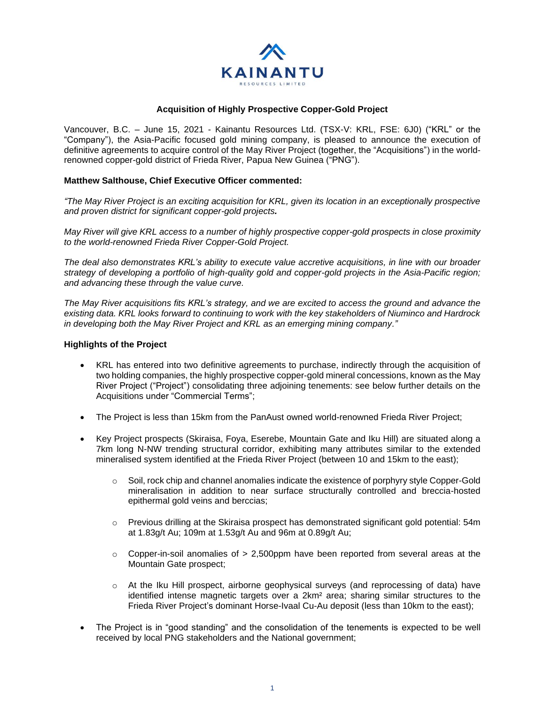

### **Acquisition of Highly Prospective Copper-Gold Project**

Vancouver, B.C. – June 15, 2021 - Kainantu Resources Ltd. (TSX-V: KRL, FSE: 6J0) ("KRL" or the "Company"), the Asia-Pacific focused gold mining company, is pleased to announce the execution of definitive agreements to acquire control of the May River Project (together, the "Acquisitions") in the worldrenowned copper-gold district of Frieda River, Papua New Guinea ("PNG").

# **Matthew Salthouse, Chief Executive Officer commented:**

*"The May River Project is an exciting acquisition for KRL, given its location in an exceptionally prospective and proven district for significant copper-gold projects.* 

*May River will give KRL access to a number of highly prospective copper-gold prospects in close proximity to the world-renowned Frieda River Copper-Gold Project.*

*The deal also demonstrates KRL's ability to execute value accretive acquisitions, in line with our broader strategy of developing a portfolio of high-quality gold and copper-gold projects in the Asia-Pacific region; and advancing these through the value curve.* 

*The May River acquisitions fits KRL's strategy, and we are excited to access the ground and advance the existing data. KRL looks forward to continuing to work with the key stakeholders of Niuminco and Hardrock in developing both the May River Project and KRL as an emerging mining company."* 

### **Highlights of the Project**

- KRL has entered into two definitive agreements to purchase, indirectly through the acquisition of two holding companies, the highly prospective copper-gold mineral concessions, known as the May River Project ("Project") consolidating three adjoining tenements: see below further details on the Acquisitions under "Commercial Terms";
- The Project is less than 15km from the PanAust owned world-renowned Frieda River Project;
- Key Project prospects (Skiraisa, Foya, Eserebe, Mountain Gate and Iku Hill) are situated along a 7km long N-NW trending structural corridor, exhibiting many attributes similar to the extended mineralised system identified at the Frieda River Project (between 10 and 15km to the east);
	- $\circ$  Soil, rock chip and channel anomalies indicate the existence of porphyry style Copper-Gold mineralisation in addition to near surface structurally controlled and breccia-hosted epithermal gold veins and berccias;
	- $\circ$  Previous drilling at the Skiraisa prospect has demonstrated significant gold potential: 54m at 1.83g/t Au; 109m at 1.53g/t Au and 96m at 0.89g/t Au;
	- $\circ$  Copper-in-soil anomalies of  $> 2,500$ ppm have been reported from several areas at the Mountain Gate prospect;
	- o At the Iku Hill prospect, airborne geophysical surveys (and reprocessing of data) have identified intense magnetic targets over a 2km² area; sharing similar structures to the Frieda River Project's dominant Horse-Ivaal Cu-Au deposit (less than 10km to the east);
- The Project is in "good standing" and the consolidation of the tenements is expected to be well received by local PNG stakeholders and the National government;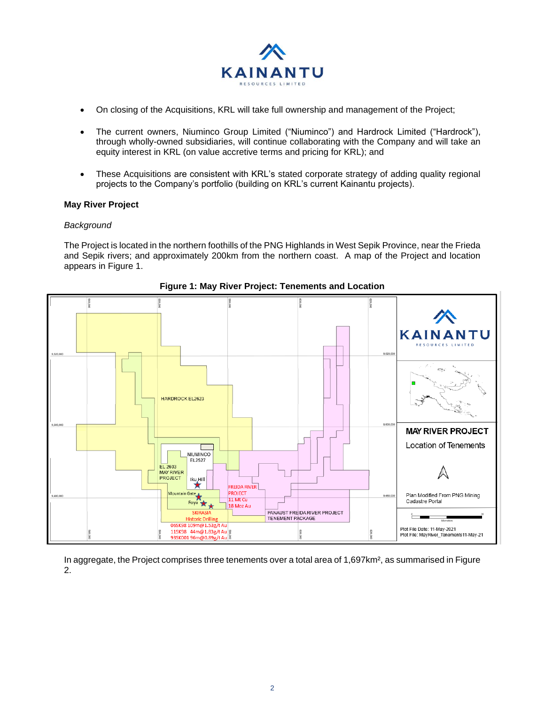

- On closing of the Acquisitions, KRL will take full ownership and management of the Project;
- The current owners, Niuminco Group Limited ("Niuminco") and Hardrock Limited ("Hardrock"), through wholly-owned subsidiaries, will continue collaborating with the Company and will take an equity interest in KRL (on value accretive terms and pricing for KRL); and
- These Acquisitions are consistent with KRL's stated corporate strategy of adding quality regional projects to the Company's portfolio (building on KRL's current Kainantu projects).

# **May River Project**

# *Background*

The Project is located in the northern foothills of the PNG Highlands in West Sepik Province, near the Frieda and Sepik rivers; and approximately 200km from the northern coast. A map of the Project and location appears in Figure 1.



**Figure 1: May River Project: Tenements and Location**

In aggregate, the Project comprises three tenements over a total area of 1,697km², as summarised in Figure 2.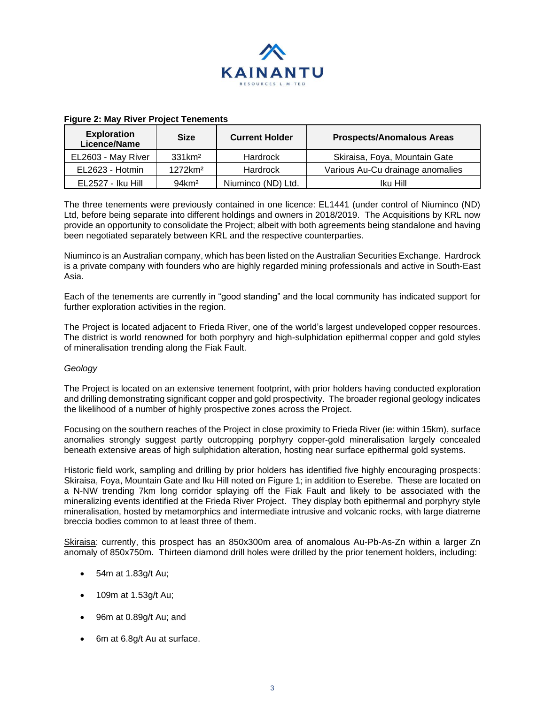

| <b>Exploration</b><br>Licence/Name | <b>Size</b>         | <b>Current Holder</b> | <b>Prospects/Anomalous Areas</b> |
|------------------------------------|---------------------|-----------------------|----------------------------------|
| EL2603 - May River                 | 331km <sup>2</sup>  | <b>Hardrock</b>       | Skiraisa, Foya, Mountain Gate    |
| EL2623 - Hotmin                    | 1272km <sup>2</sup> | <b>Hardrock</b>       | Various Au-Cu drainage anomalies |
| EL2527 - Iku Hill                  | $94 \mathrm{km}^2$  | Niuminco (ND) Ltd.    | Iku Hill                         |

### **Figure 2: May River Project Tenements**

The three tenements were previously contained in one licence: EL1441 (under control of Niuminco (ND) Ltd, before being separate into different holdings and owners in 2018/2019. The Acquisitions by KRL now provide an opportunity to consolidate the Project; albeit with both agreements being standalone and having been negotiated separately between KRL and the respective counterparties.

Niuminco is an Australian company, which has been listed on the Australian Securities Exchange. Hardrock is a private company with founders who are highly regarded mining professionals and active in South-East Asia.

Each of the tenements are currently in "good standing" and the local community has indicated support for further exploration activities in the region.

The Project is located adjacent to Frieda River, one of the world's largest undeveloped copper resources. The district is world renowned for both porphyry and high-sulphidation epithermal copper and gold styles of mineralisation trending along the Fiak Fault.

### *Geology*

The Project is located on an extensive tenement footprint, with prior holders having conducted exploration and drilling demonstrating significant copper and gold prospectivity. The broader regional geology indicates the likelihood of a number of highly prospective zones across the Project.

Focusing on the southern reaches of the Project in close proximity to Frieda River (ie: within 15km), surface anomalies strongly suggest partly outcropping porphyry copper-gold mineralisation largely concealed beneath extensive areas of high sulphidation alteration, hosting near surface epithermal gold systems.

Historic field work, sampling and drilling by prior holders has identified five highly encouraging prospects: Skiraisa, Foya, Mountain Gate and Iku Hill noted on Figure 1; in addition to Eserebe. These are located on a N-NW trending 7km long corridor splaying off the Fiak Fault and likely to be associated with the mineralizing events identified at the Frieda River Project. They display both epithermal and porphyry style mineralisation, hosted by metamorphics and intermediate intrusive and volcanic rocks, with large diatreme breccia bodies common to at least three of them.

Skiraisa: currently, this prospect has an 850x300m area of anomalous Au-Pb-As-Zn within a larger Zn anomaly of 850x750m. Thirteen diamond drill holes were drilled by the prior tenement holders, including:

- 54m at 1.83g/t Au;
- 109m at 1.53g/t Au;
- 96m at 0.89g/t Au; and
- 6m at 6.8g/t Au at surface.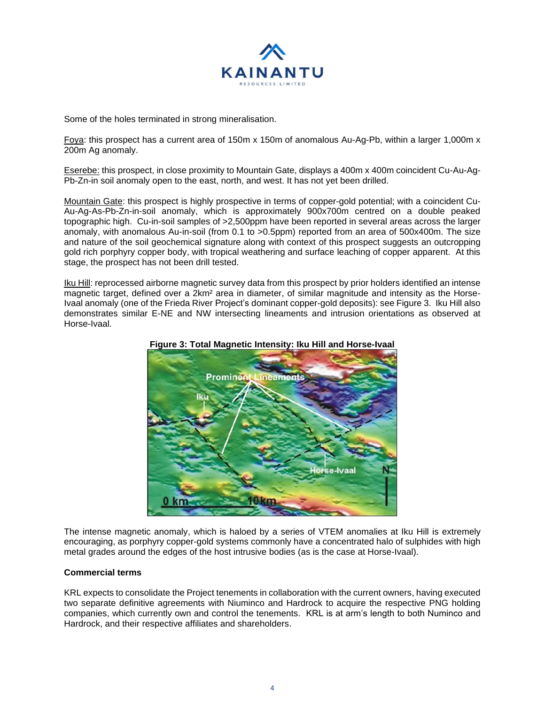

Some of the holes terminated in strong mineralisation.

Foya: this prospect has a current area of 150m x 150m of anomalous Au-Ag-Pb, within a larger 1,000m x 200m Ag anomaly.

Eserebe: this prospect, in close proximity to Mountain Gate, displays a 400m x 400m coincident Cu-Au-Ag-Pb-Zn-in soil anomaly open to the east, north, and west. It has not yet been drilled.

Mountain Gate: this prospect is highly prospective in terms of copper-gold potential; with a coincident Cu-Au-Ag-As-Pb-Zn-in-soil anomaly, which is approximately 900x700m centred on a double peaked topographic high. Cu-in-soil samples of >2,500ppm have been reported in several areas across the larger anomaly, with anomalous Au-in-soil (from 0.1 to >0.5ppm) reported from an area of 500x400m. The size and nature of the soil geochemical signature along with context of this prospect suggests an outcropping gold rich porphyry copper body, with tropical weathering and surface leaching of copper apparent. At this stage, the prospect has not been drill tested.

Iku Hill: reprocessed airborne magnetic survey data from this prospect by prior holders identified an intense magnetic target, defined over a 2km<sup>2</sup> area in diameter, of similar magnitude and intensity as the Horse-Ivaal anomaly (one of the Frieda River Project's dominant copper-gold deposits): see Figure 3. Iku Hill also demonstrates similar E-NE and NW intersecting lineaments and intrusion orientations as observed at Horse-Ivaal.





The intense magnetic anomaly, which is haloed by a series of VTEM anomalies at Iku Hill is extremely encouraging, as porphyry copper-gold systems commonly have a concentrated halo of sulphides with high metal grades around the edges of the host intrusive bodies (as is the case at Horse-Ivaal).

### **Commercial terms**

KRL expects to consolidate the Project tenements in collaboration with the current owners, having executed two separate definitive agreements with Niuminco and Hardrock to acquire the respective PNG holding companies, which currently own and control the tenements. KRL is at arm's length to both Numinco and Hardrock, and their respective affiliates and shareholders.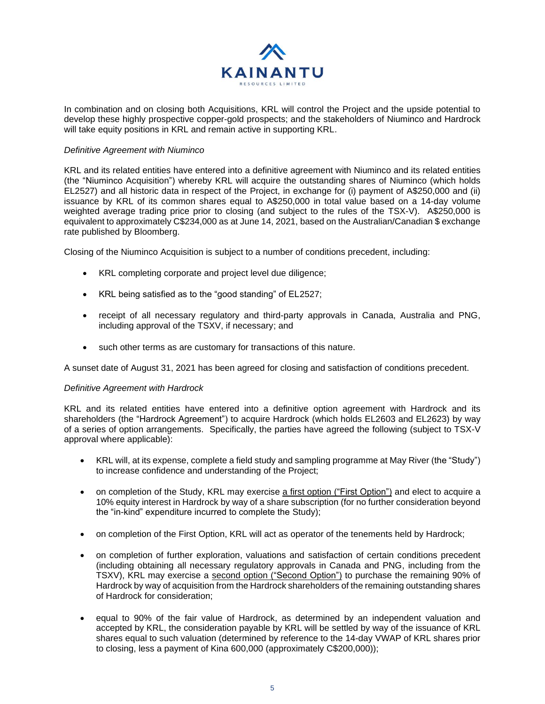

In combination and on closing both Acquisitions, KRL will control the Project and the upside potential to develop these highly prospective copper-gold prospects; and the stakeholders of Niuminco and Hardrock will take equity positions in KRL and remain active in supporting KRL.

#### *Definitive Agreement with Niuminco*

KRL and its related entities have entered into a definitive agreement with Niuminco and its related entities (the "Niuminco Acquisition") whereby KRL will acquire the outstanding shares of Niuminco (which holds EL2527) and all historic data in respect of the Project, in exchange for (i) payment of A\$250,000 and (ii) issuance by KRL of its common shares equal to A\$250,000 in total value based on a 14-day volume weighted average trading price prior to closing (and subject to the rules of the TSX-V). A\$250,000 is equivalent to approximately C\$234,000 as at June 14, 2021, based on the Australian/Canadian \$ exchange rate published by Bloomberg.

Closing of the Niuminco Acquisition is subject to a number of conditions precedent, including:

- KRL completing corporate and project level due diligence;
- KRL being satisfied as to the "good standing" of EL2527;
- receipt of all necessary regulatory and third-party approvals in Canada, Australia and PNG, including approval of the TSXV, if necessary; and
- such other terms as are customary for transactions of this nature.

A sunset date of August 31, 2021 has been agreed for closing and satisfaction of conditions precedent.

### *Definitive Agreement with Hardrock*

KRL and its related entities have entered into a definitive option agreement with Hardrock and its shareholders (the "Hardrock Agreement") to acquire Hardrock (which holds EL2603 and EL2623) by way of a series of option arrangements. Specifically, the parties have agreed the following (subject to TSX-V approval where applicable):

- KRL will, at its expense, complete a field study and sampling programme at May River (the "Study") to increase confidence and understanding of the Project;
- on completion of the Study, KRL may exercise a first option ("First Option") and elect to acquire a 10% equity interest in Hardrock by way of a share subscription (for no further consideration beyond the "in-kind" expenditure incurred to complete the Study);
- on completion of the First Option, KRL will act as operator of the tenements held by Hardrock;
- on completion of further exploration, valuations and satisfaction of certain conditions precedent (including obtaining all necessary regulatory approvals in Canada and PNG, including from the TSXV), KRL may exercise a second option ("Second Option") to purchase the remaining 90% of Hardrock by way of acquisition from the Hardrock shareholders of the remaining outstanding shares of Hardrock for consideration;
- equal to 90% of the fair value of Hardrock, as determined by an independent valuation and accepted by KRL, the consideration payable by KRL will be settled by way of the issuance of KRL shares equal to such valuation (determined by reference to the 14-day VWAP of KRL shares prior to closing, less a payment of Kina 600,000 (approximately C\$200,000));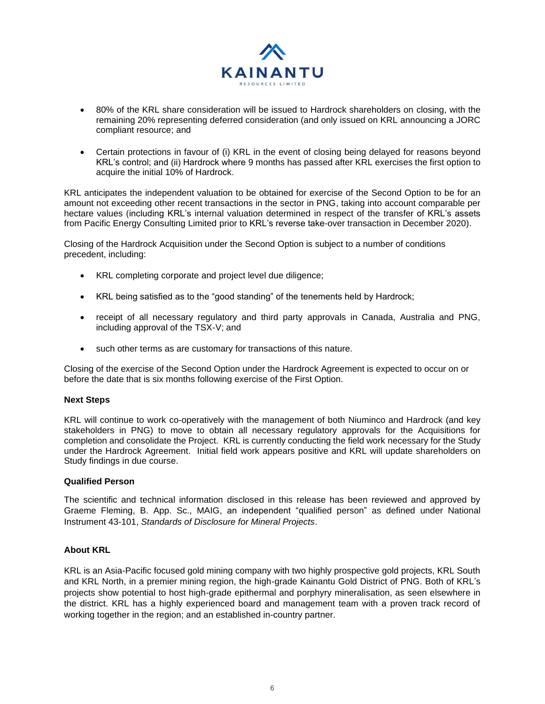

- 80% of the KRL share consideration will be issued to Hardrock shareholders on closing, with the remaining 20% representing deferred consideration (and only issued on KRL announcing a JORC compliant resource; and
- Certain protections in favour of (i) KRL in the event of closing being delayed for reasons beyond KRL's control; and (ii) Hardrock where 9 months has passed after KRL exercises the first option to acquire the initial 10% of Hardrock.

KRL anticipates the independent valuation to be obtained for exercise of the Second Option to be for an amount not exceeding other recent transactions in the sector in PNG, taking into account comparable per hectare values (including KRL's internal valuation determined in respect of the transfer of KRL's assets from Pacific Energy Consulting Limited prior to KRL's reverse take-over transaction in December 2020).

Closing of the Hardrock Acquisition under the Second Option is subject to a number of conditions precedent, including:

- KRL completing corporate and project level due diligence;
- KRL being satisfied as to the "good standing" of the tenements held by Hardrock;
- receipt of all necessary regulatory and third party approvals in Canada, Australia and PNG, including approval of the TSX-V; and
- such other terms as are customary for transactions of this nature.

Closing of the exercise of the Second Option under the Hardrock Agreement is expected to occur on or before the date that is six months following exercise of the First Option.

### **Next Steps**

KRL will continue to work co-operatively with the management of both Niuminco and Hardrock (and key stakeholders in PNG) to move to obtain all necessary regulatory approvals for the Acquisitions for completion and consolidate the Project. KRL is currently conducting the field work necessary for the Study under the Hardrock Agreement. Initial field work appears positive and KRL will update shareholders on Study findings in due course.

### **Qualified Person**

The scientific and technical information disclosed in this release has been reviewed and approved by Graeme Fleming, B. App. Sc., MAIG, an independent "qualified person" as defined under National Instrument 43-101, *Standards of Disclosure for Mineral Projects*.

### **About KRL**

KRL is an Asia-Pacific focused gold mining company with two highly prospective gold projects, KRL South and KRL North, in a premier mining region, the high-grade Kainantu Gold District of PNG. Both of KRL's projects show potential to host high-grade epithermal and porphyry mineralisation, as seen elsewhere in the district. KRL has a highly experienced board and management team with a proven track record of working together in the region; and an established in-country partner.